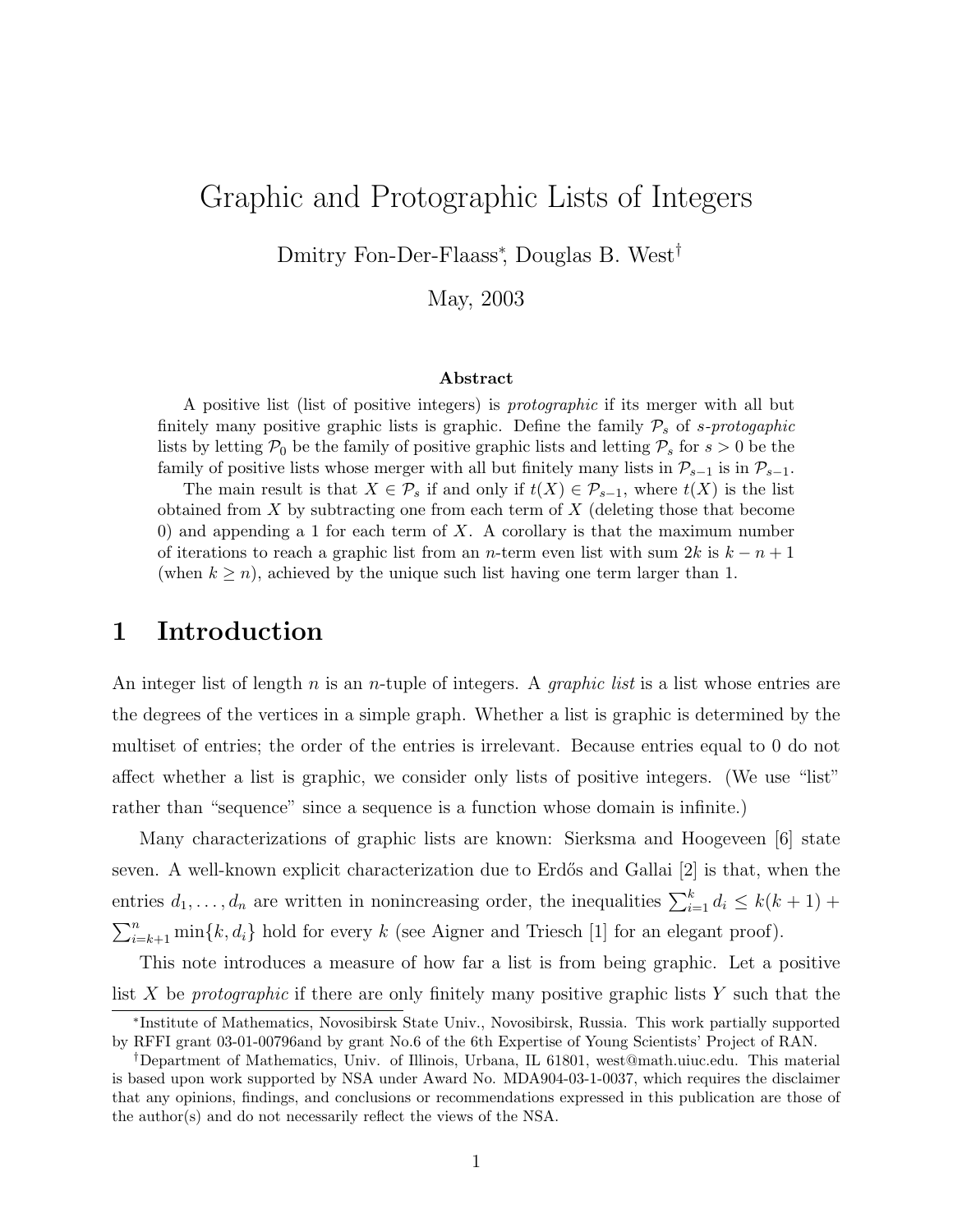# Graphic and Protographic Lists of Integers

Dmitry Fon-Der-Flaass<sup>∗</sup> , Douglas B. West†

May, 2003

#### Abstract

A positive list (list of positive integers) is protographic if its merger with all but finitely many positive graphic lists is graphic. Define the family  $P_s$  of s-protogaphic lists by letting  $P_0$  be the family of positive graphic lists and letting  $P_s$  for  $s > 0$  be the family of positive lists whose merger with all but finitely many lists in  $\mathcal{P}_{s-1}$  is in  $\mathcal{P}_{s-1}$ .

The main result is that  $X \in \mathcal{P}_s$  if and only if  $t(X) \in \mathcal{P}_{s-1}$ , where  $t(X)$  is the list obtained from  $X$  by subtracting one from each term of  $X$  (deleting those that become 0) and appending a 1 for each term of  $X$ . A corollary is that the maximum number of iterations to reach a graphic list from an n-term even list with sum 2k is  $k - n + 1$ (when  $k \geq n$ ), achieved by the unique such list having one term larger than 1.

### 1 Introduction

An integer list of length n is an n-tuple of integers. A *qraphic list* is a list whose entries are the degrees of the vertices in a simple graph. Whether a list is graphic is determined by the multiset of entries; the order of the entries is irrelevant. Because entries equal to 0 do not affect whether a list is graphic, we consider only lists of positive integers. (We use "list" rather than "sequence" since a sequence is a function whose domain is infinite.)

Many characterizations of graphic lists are known: Sierksma and Hoogeveen [6] state seven. A well-known explicit characterization due to Erdős and Gallai [2] is that, when the entries  $d_1, \ldots, d_n$  are written in nonincreasing order, the inequalities  $\sum_{i=1}^{k} d_i \leq k(k+1) +$  $\sum_{i=k+1}^{n} \min\{k, d_i\}$  hold for every k (see Aigner and Triesch [1] for an elegant proof).

This note introduces a measure of how far a list is from being graphic. Let a positive list X be protographic if there are only finitely many positive graphic lists Y such that the

<sup>∗</sup> Institute of Mathematics, Novosibirsk State Univ., Novosibirsk, Russia. This work partially supported by RFFI grant 03-01-00796and by grant No.6 of the 6th Expertise of Young Scientists' Project of RAN.

<sup>†</sup>Department of Mathematics, Univ. of Illinois, Urbana, IL 61801, west@math.uiuc.edu. This material is based upon work supported by NSA under Award No. MDA904-03-1-0037, which requires the disclaimer that any opinions, findings, and conclusions or recommendations expressed in this publication are those of the author(s) and do not necessarily reflect the views of the NSA.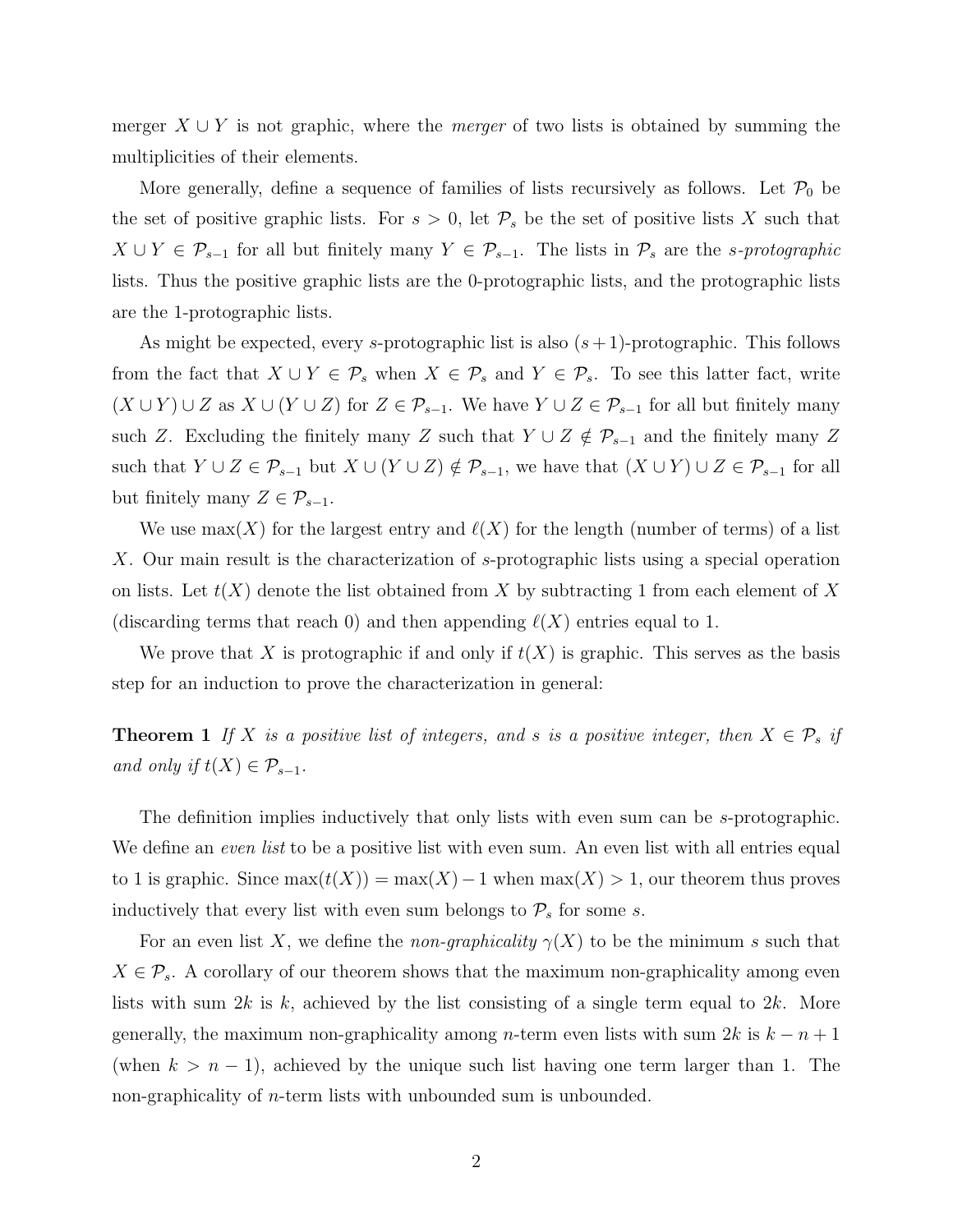merger  $X \cup Y$  is not graphic, where the *merger* of two lists is obtained by summing the multiplicities of their elements.

More generally, define a sequence of families of lists recursively as follows. Let  $\mathcal{P}_0$  be the set of positive graphic lists. For  $s > 0$ , let  $\mathcal{P}_s$  be the set of positive lists X such that  $X \cup Y \in \mathcal{P}_{s-1}$  for all but finitely many  $Y \in \mathcal{P}_{s-1}$ . The lists in  $\mathcal{P}_s$  are the s-protographic lists. Thus the positive graphic lists are the 0-protographic lists, and the protographic lists are the 1-protographic lists.

As might be expected, every s-protographic list is also  $(s+1)$ -protographic. This follows from the fact that  $X \cup Y \in \mathcal{P}_s$  when  $X \in \mathcal{P}_s$  and  $Y \in \mathcal{P}_s$ . To see this latter fact, write  $(X \cup Y) \cup Z$  as  $X \cup (Y \cup Z)$  for  $Z \in \mathcal{P}_{s-1}$ . We have  $Y \cup Z \in \mathcal{P}_{s-1}$  for all but finitely many such Z. Excluding the finitely many Z such that  $Y \cup Z \notin \mathcal{P}_{s-1}$  and the finitely many Z such that  $Y \cup Z \in \mathcal{P}_{s-1}$  but  $X \cup (Y \cup Z) \notin \mathcal{P}_{s-1}$ , we have that  $(X \cup Y) \cup Z \in \mathcal{P}_{s-1}$  for all but finitely many  $Z \in \mathcal{P}_{s-1}$ .

We use max(X) for the largest entry and  $\ell(X)$  for the length (number of terms) of a list X. Our main result is the characterization of s-protographic lists using a special operation on lists. Let  $t(X)$  denote the list obtained from X by subtracting 1 from each element of X (discarding terms that reach 0) and then appending  $\ell(X)$  entries equal to 1.

We prove that X is protographic if and only if  $t(X)$  is graphic. This serves as the basis step for an induction to prove the characterization in general:

**Theorem 1** If X is a positive list of integers, and s is a positive integer, then  $X \in \mathcal{P}_s$  if and only if  $t(X) \in \mathcal{P}_{s-1}$ .

The definition implies inductively that only lists with even sum can be s-protographic. We define an *even list* to be a positive list with even sum. An even list with all entries equal to 1 is graphic. Since  $\max(t(X)) = \max(X) - 1$  when  $\max(X) > 1$ , our theorem thus proves inductively that every list with even sum belongs to  $\mathcal{P}_s$  for some s.

For an even list X, we define the *non-graphicality*  $\gamma(X)$  to be the minimum s such that  $X \in \mathcal{P}_s$ . A corollary of our theorem shows that the maximum non-graphicality among even lists with sum  $2k$  is k, achieved by the list consisting of a single term equal to  $2k$ . More generally, the maximum non-graphicality among n-term even lists with sum  $2k$  is  $k - n + 1$ (when  $k > n - 1$ ), achieved by the unique such list having one term larger than 1. The non-graphicality of *n*-term lists with unbounded sum is unbounded.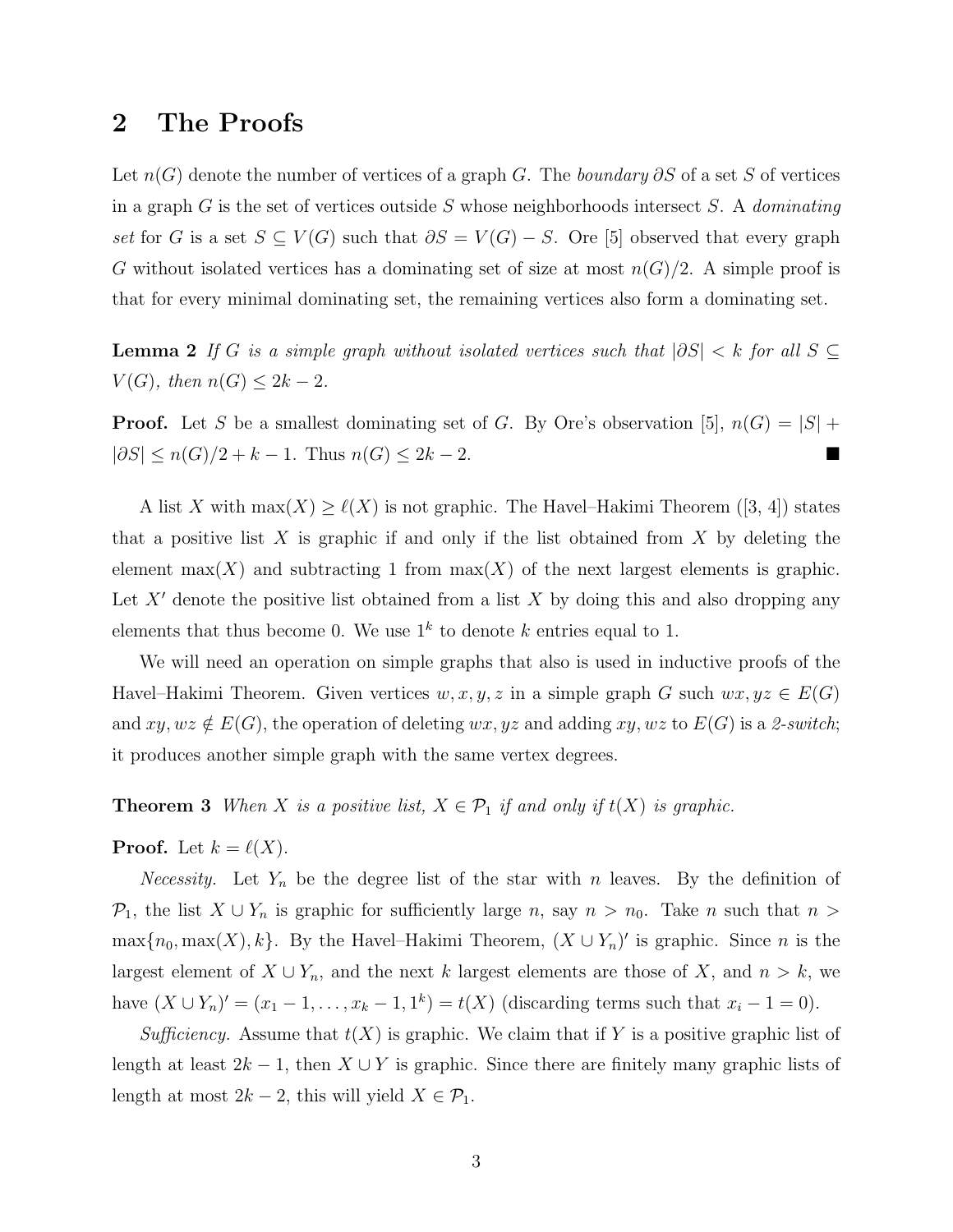## 2 The Proofs

Let  $n(G)$  denote the number of vertices of a graph G. The boundary ∂S of a set S of vertices in a graph G is the set of vertices outside S whose neighborhoods intersect S. A *dominating* set for G is a set  $S \subseteq V(G)$  such that  $\partial S = V(G) - S$ . Ore [5] observed that every graph G without isolated vertices has a dominating set of size at most  $n(G)/2$ . A simple proof is that for every minimal dominating set, the remaining vertices also form a dominating set.

**Lemma 2** If G is a simple graph without isolated vertices such that  $|\partial S| < k$  for all  $S \subseteq$  $V(G)$ , then  $n(G) \leq 2k - 2$ .

**Proof.** Let S be a smallest dominating set of G. By Ore's observation [5],  $n(G) = |S|$  +  $|\partial S| \le n(G)/2 + k - 1$ . Thus  $n(G) \le 2k - 2$ .

A list X with  $\max(X) \ge \ell(X)$  is not graphic. The Havel–Hakimi Theorem ([3, 4]) states that a positive list  $X$  is graphic if and only if the list obtained from  $X$  by deleting the element max(X) and subtracting 1 from  $\max(X)$  of the next largest elements is graphic. Let X' denote the positive list obtained from a list X by doing this and also dropping any elements that thus become 0. We use  $1^k$  to denote k entries equal to 1.

We will need an operation on simple graphs that also is used in inductive proofs of the Havel–Hakimi Theorem. Given vertices  $w, x, y, z$  in a simple graph G such  $wx, yz \in E(G)$ and  $xy, wz \notin E(G)$ , the operation of deleting  $wx, yz$  and adding  $xy, wz$  to  $E(G)$  is a 2-switch; it produces another simple graph with the same vertex degrees.

**Theorem 3** When X is a positive list,  $X \in \mathcal{P}_1$  if and only if  $t(X)$  is graphic.

**Proof.** Let  $k = \ell(X)$ .

*Necessity.* Let  $Y_n$  be the degree list of the star with n leaves. By the definition of  $\mathcal{P}_1$ , the list  $X \cup Y_n$  is graphic for sufficiently large n, say  $n > n_0$ . Take n such that  $n >$  $\max\{n_0, \max(X), k\}$ . By the Havel–Hakimi Theorem,  $(X \cup Y_n)'$  is graphic. Since n is the largest element of  $X \cup Y_n$ , and the next k largest elements are those of X, and  $n > k$ , we have  $(X \cup Y_n)' = (x_1 - 1, \dots, x_k - 1, 1^k) = t(X)$  (discarding terms such that  $x_i - 1 = 0$ ).

Sufficiency. Assume that  $t(X)$  is graphic. We claim that if Y is a positive graphic list of length at least  $2k-1$ , then  $X \cup Y$  is graphic. Since there are finitely many graphic lists of length at most  $2k - 2$ , this will yield  $X \in \mathcal{P}_1$ .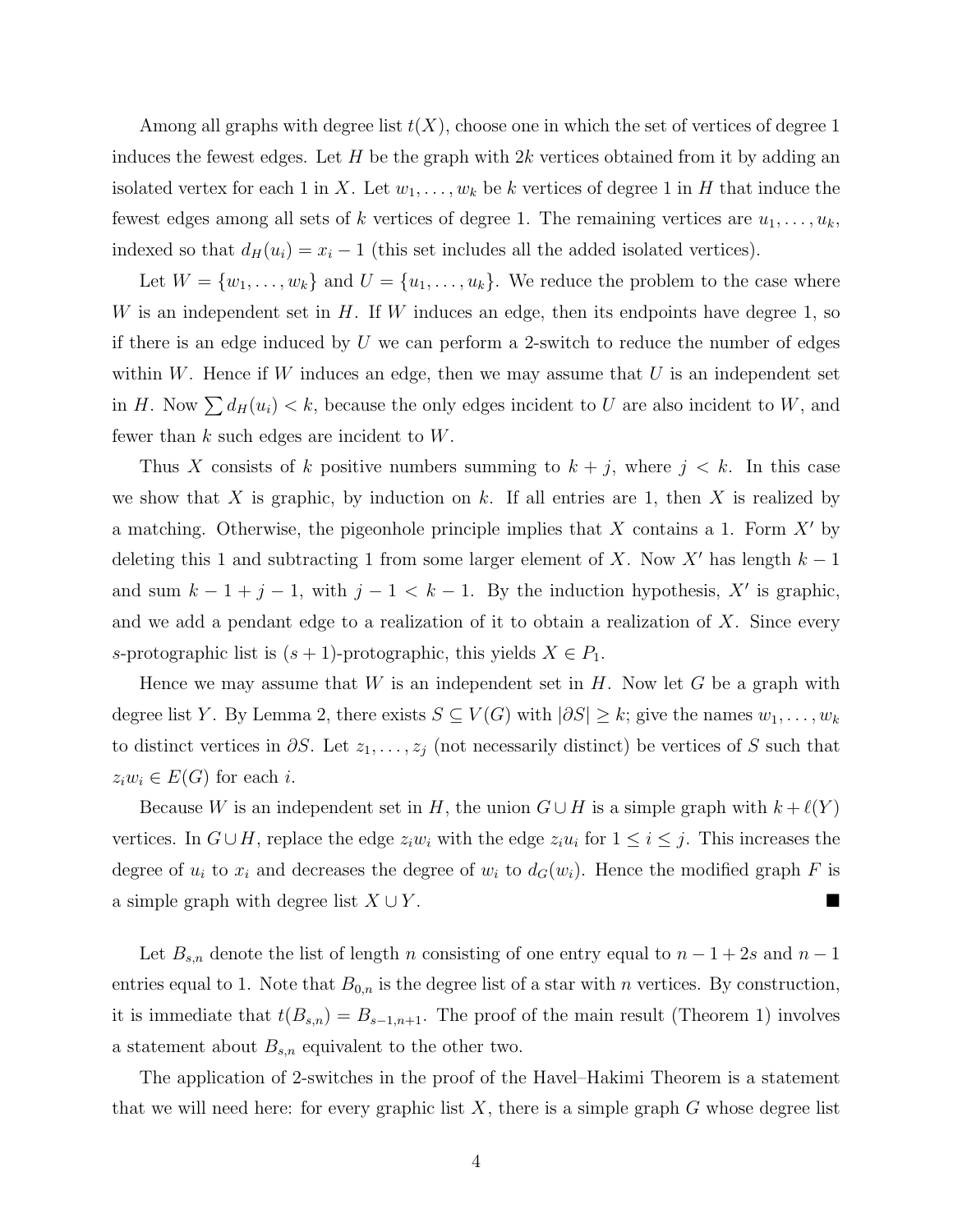Among all graphs with degree list  $t(X)$ , choose one in which the set of vertices of degree 1 induces the fewest edges. Let  $H$  be the graph with  $2k$  vertices obtained from it by adding an isolated vertex for each 1 in X. Let  $w_1, \ldots, w_k$  be k vertices of degree 1 in H that induce the fewest edges among all sets of k vertices of degree 1. The remaining vertices are  $u_1, \ldots, u_k$ , indexed so that  $d_H(u_i) = x_i - 1$  (this set includes all the added isolated vertices).

Let  $W = \{w_1, \ldots, w_k\}$  and  $U = \{u_1, \ldots, u_k\}$ . We reduce the problem to the case where W is an independent set in  $H$ . If W induces an edge, then its endpoints have degree 1, so if there is an edge induced by  $U$  we can perform a 2-switch to reduce the number of edges within  $W$ . Hence if  $W$  induces an edge, then we may assume that  $U$  is an independent set in H. Now  $\sum d_H(u_i) < k$ , because the only edges incident to U are also incident to W, and fewer than  $k$  such edges are incident to  $W$ .

Thus X consists of k positive numbers summing to  $k + j$ , where  $j < k$ . In this case we show that X is graphic, by induction on k. If all entries are 1, then X is realized by a matching. Otherwise, the pigeonhole principle implies that  $X$  contains a 1. Form  $X'$  by deleting this 1 and subtracting 1 from some larger element of X. Now X' has length  $k - 1$ and sum  $k - 1 + j - 1$ , with  $j - 1 < k - 1$ . By the induction hypothesis, X' is graphic, and we add a pendant edge to a realization of it to obtain a realization of  $X$ . Since every s-protographic list is  $(s + 1)$ -protographic, this yields  $X \in P_1$ .

Hence we may assume that W is an independent set in  $H$ . Now let G be a graph with degree list Y. By Lemma 2, there exists  $S \subseteq V(G)$  with  $|\partial S| \geq k$ ; give the names  $w_1, \ldots, w_k$ to distinct vertices in  $\partial S$ . Let  $z_1, \ldots, z_j$  (not necessarily distinct) be vertices of S such that  $z_iw_i \in E(G)$  for each i.

Because W is an independent set in H, the union  $G \cup H$  is a simple graph with  $k + \ell(Y)$ vertices. In  $G \cup H$ , replace the edge  $z_i w_i$  with the edge  $z_i u_i$  for  $1 \leq i \leq j$ . This increases the degree of  $u_i$  to  $x_i$  and decreases the degree of  $w_i$  to  $d_G(w_i)$ . Hence the modified graph F is a simple graph with degree list  $X \cup Y$ .

Let  $B_{s,n}$  denote the list of length n consisting of one entry equal to  $n-1+2s$  and  $n-1$ entries equal to 1. Note that  $B_{0,n}$  is the degree list of a star with n vertices. By construction, it is immediate that  $t(B_{s,n}) = B_{s-1,n+1}$ . The proof of the main result (Theorem 1) involves a statement about  $B_{s,n}$  equivalent to the other two.

The application of 2-switches in the proof of the Havel–Hakimi Theorem is a statement that we will need here: for every graphic list  $X$ , there is a simple graph  $G$  whose degree list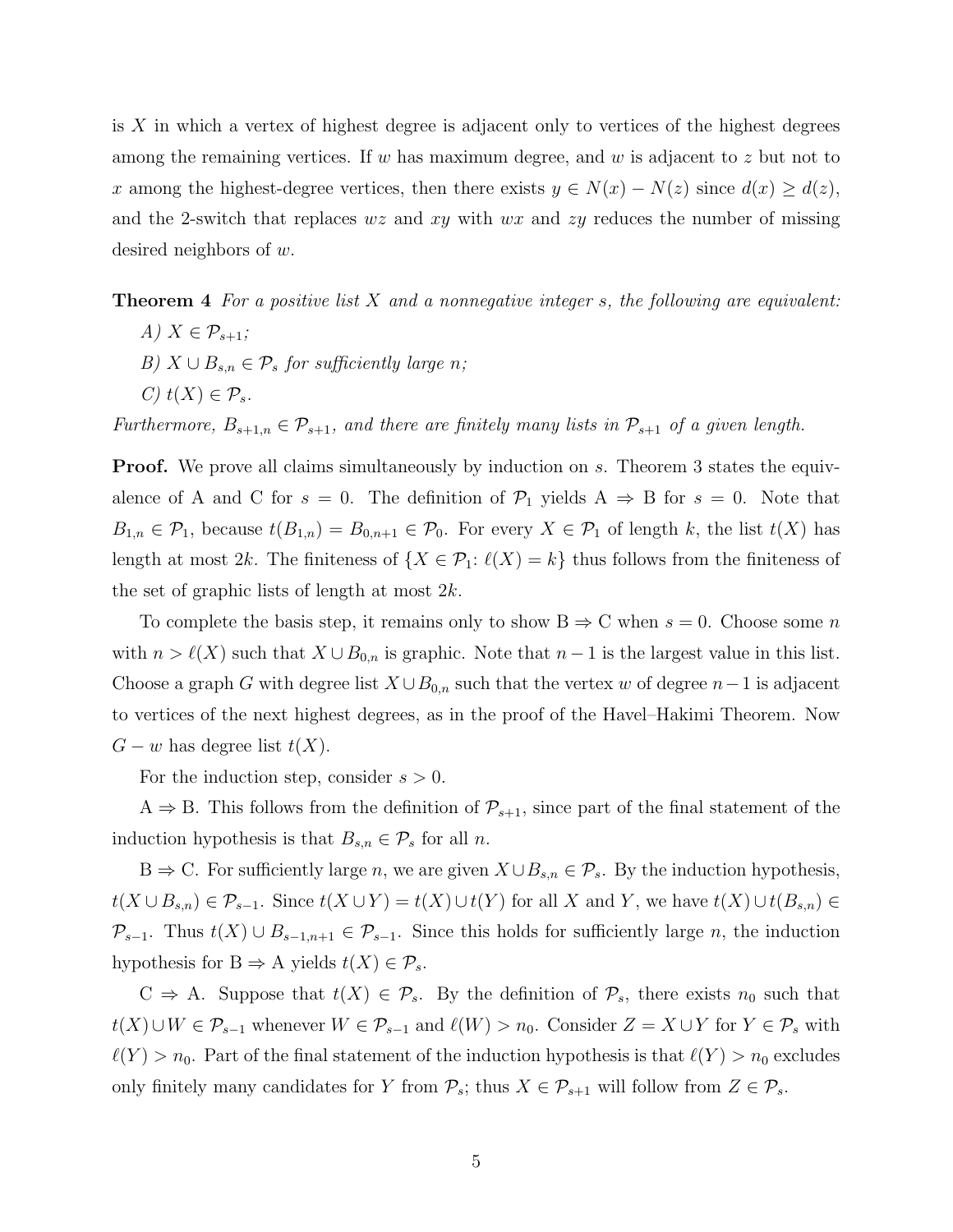is  $X$  in which a vertex of highest degree is adjacent only to vertices of the highest degrees among the remaining vertices. If w has maximum degree, and w is adjacent to  $z$  but not to x among the highest-degree vertices, then there exists  $y \in N(x) - N(z)$  since  $d(x) \geq d(z)$ , and the 2-switch that replaces  $wz$  and  $xy$  with  $wx$  and  $zy$  reduces the number of missing desired neighbors of w.

**Theorem 4** For a positive list  $X$  and a nonnegative integer  $s$ , the following are equivalent:

A)  $X \in \mathcal{P}_{s+1}$ ; B)  $X \cup B_{s,n} \in \mathcal{P}_s$  for sufficiently large n; C)  $t(X) \in \mathcal{P}_s$ .

Furthermore,  $B_{s+1,n} \in \mathcal{P}_{s+1}$ , and there are finitely many lists in  $\mathcal{P}_{s+1}$  of a given length.

**Proof.** We prove all claims simultaneously by induction on s. Theorem 3 states the equivalence of A and C for  $s = 0$ . The definition of  $\mathcal{P}_1$  yields  $A \Rightarrow B$  for  $s = 0$ . Note that  $B_{1,n} \in \mathcal{P}_1$ , because  $t(B_{1,n}) = B_{0,n+1} \in \mathcal{P}_0$ . For every  $X \in \mathcal{P}_1$  of length k, the list  $t(X)$  has length at most 2k. The finiteness of  $\{X \in \mathcal{P}_1: \ell(X) = k\}$  thus follows from the finiteness of the set of graphic lists of length at most 2k.

To complete the basis step, it remains only to show  $B \Rightarrow C$  when  $s = 0$ . Choose some n with  $n > \ell(X)$  such that  $X \cup B_{0,n}$  is graphic. Note that  $n-1$  is the largest value in this list. Choose a graph G with degree list  $X \cup B_{0,n}$  such that the vertex w of degree  $n-1$  is adjacent to vertices of the next highest degrees, as in the proof of the Havel–Hakimi Theorem. Now  $G - w$  has degree list  $t(X)$ .

For the induction step, consider  $s > 0$ .

 $A \Rightarrow B$ . This follows from the definition of  $\mathcal{P}_{s+1}$ , since part of the final statement of the induction hypothesis is that  $B_{s,n} \in \mathcal{P}_s$  for all n.

B  $\Rightarrow$  C. For sufficiently large n, we are given  $X \cup B_{s,n} \in \mathcal{P}_s$ . By the induction hypothesis,  $t(X \cup B_{s,n}) \in \mathcal{P}_{s-1}$ . Since  $t(X \cup Y) = t(X) \cup t(Y)$  for all X and Y, we have  $t(X) \cup t(B_{s,n}) \in$  $\mathcal{P}_{s-1}$ . Thus  $t(X) \cup B_{s-1,n+1} \in \mathcal{P}_{s-1}$ . Since this holds for sufficiently large n, the induction hypothesis for B  $\Rightarrow$  A yields  $t(X) \in \mathcal{P}_s$ .

 $C \Rightarrow A$ . Suppose that  $t(X) \in \mathcal{P}_s$ . By the definition of  $\mathcal{P}_s$ , there exists  $n_0$  such that  $t(X) \cup W \in \mathcal{P}_{s-1}$  whenever  $W \in \mathcal{P}_{s-1}$  and  $\ell(W) > n_0$ . Consider  $Z = X \cup Y$  for  $Y \in \mathcal{P}_s$  with  $\ell(Y) > n_0$ . Part of the final statement of the induction hypothesis is that  $\ell(Y) > n_0$  excludes only finitely many candidates for Y from  $\mathcal{P}_s$ ; thus  $X \in \mathcal{P}_{s+1}$  will follow from  $Z \in \mathcal{P}_s$ .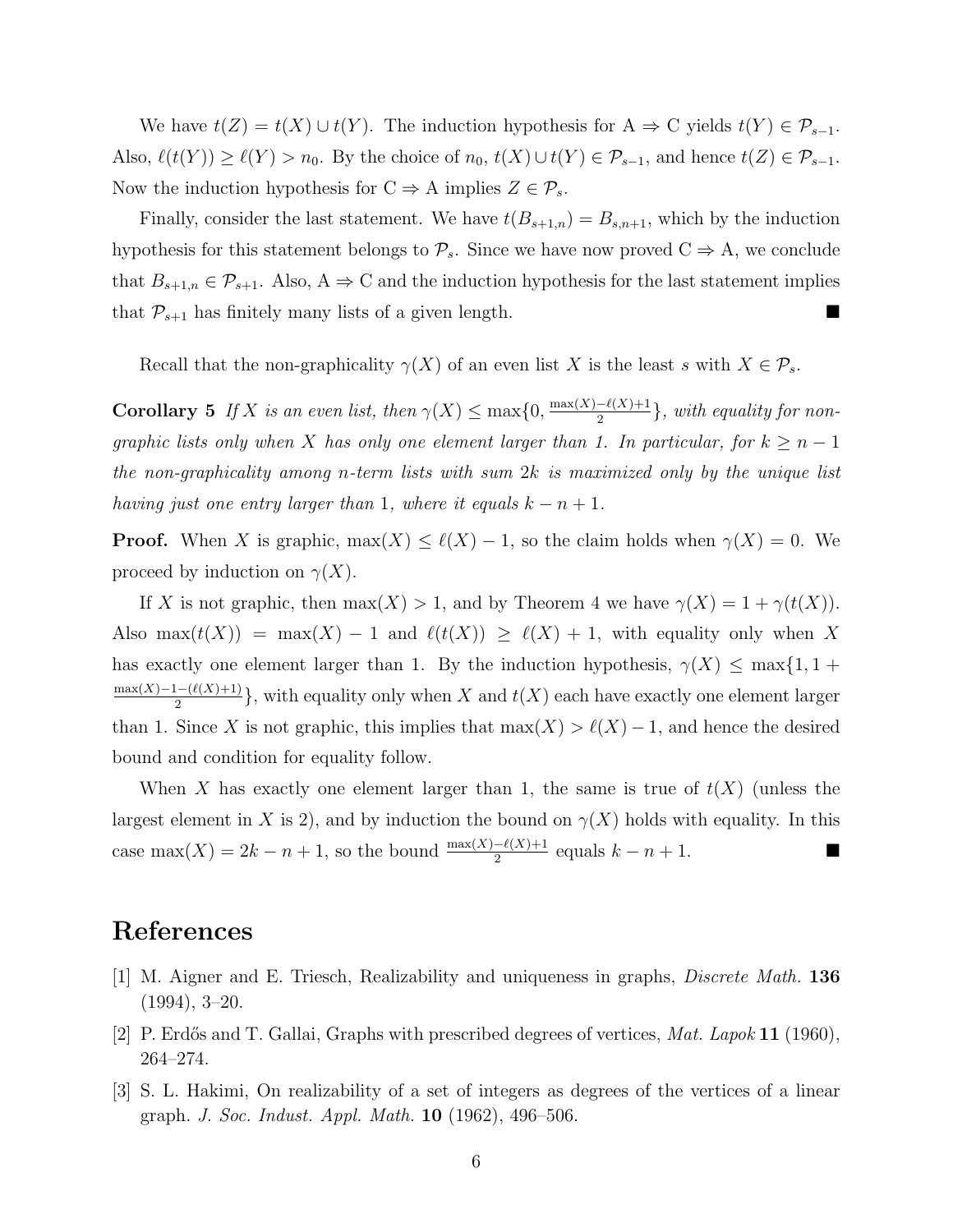We have  $t(Z) = t(X) \cup t(Y)$ . The induction hypothesis for  $A \Rightarrow C$  yields  $t(Y) \in \mathcal{P}_{s-1}$ . Also,  $\ell(t(Y)) \geq \ell(Y) > n_0$ . By the choice of  $n_0, t(X) \cup t(Y) \in \mathcal{P}_{s-1}$ , and hence  $t(Z) \in \mathcal{P}_{s-1}$ . Now the induction hypothesis for  $C \Rightarrow A$  implies  $Z \in \mathcal{P}_s$ .

Finally, consider the last statement. We have  $t(B_{s+1,n}) = B_{s,n+1}$ , which by the induction hypothesis for this statement belongs to  $\mathcal{P}_s$ . Since we have now proved  $C \Rightarrow A$ , we conclude that  $B_{s+1,n} \in \mathcal{P}_{s+1}$ . Also,  $A \Rightarrow C$  and the induction hypothesis for the last statement implies that  $P_{s+1}$  has finitely many lists of a given length.

Recall that the non-graphicality  $\gamma(X)$  of an even list X is the least s with  $X \in \mathcal{P}_s$ .

**Corollary 5** If X is an even list, then  $\gamma(X) \leq \max\{0, \frac{\max(X) - \ell(X) + 1}{2}\}$  $\frac{-\ell(X)+1}{2}\}$ , with equality for nongraphic lists only when X has only one element larger than 1. In particular, for  $k \geq n-1$ the non-graphicality among n-term lists with sum  $2k$  is maximized only by the unique list having just one entry larger than 1, where it equals  $k - n + 1$ .

**Proof.** When X is graphic,  $\max(X) \leq \ell(X) - 1$ , so the claim holds when  $\gamma(X) = 0$ . We proceed by induction on  $\gamma(X)$ .

If X is not graphic, then  $max(X) > 1$ , and by Theorem 4 we have  $\gamma(X) = 1 + \gamma(t(X))$ . Also max $(t(X)) = \max(X) - 1$  and  $\ell(t(X)) \geq \ell(X) + 1$ , with equality only when X has exactly one element larger than 1. By the induction hypothesis,  $\gamma(X) \leq \max\{1, 1 +$  $max(X)-1-(\ell(X)+1)$  $\frac{1-(\ell(X)+1)}{2}$ , with equality only when X and  $t(X)$  each have exactly one element larger than 1. Since X is not graphic, this implies that  $\max(X) > \ell(X) - 1$ , and hence the desired bound and condition for equality follow.

When X has exactly one element larger than 1, the same is true of  $t(X)$  (unless the largest element in X is 2), and by induction the bound on  $\gamma(X)$  holds with equality. In this case max(X) = 2k − n + 1, so the bound  $\frac{\max(X)-\ell(X)+1}{2}$  equals  $k - n + 1$ .

# References

- [1] M. Aigner and E. Triesch, Realizability and uniqueness in graphs, Discrete Math. 136 (1994), 3–20.
- [2] P. Erdős and T. Gallai, Graphs with prescribed degrees of vertices,  $Mat. Lapok 11 (1960)$ , 264–274.
- [3] S. L. Hakimi, On realizability of a set of integers as degrees of the vertices of a linear graph. J. Soc. Indust. Appl. Math. 10 (1962), 496–506.